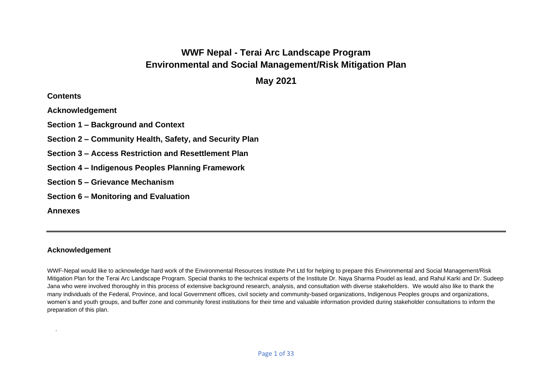# **WWF Nepal - Terai Arc Landscape Program Environmental and Social Management/Risk Mitigation Plan**

**May 2021**

## **Contents**

**Acknowledgement**

**Section 1 – Background and Context**

**Section 2 – Community Health, Safety, and Security Plan**

**Section 3 – Access Restriction and Resettlement Plan** 

**Section 4 – Indigenous Peoples Planning Framework**

**Section 5 – Grievance Mechanism** 

**Section 6 – Monitoring and Evaluation**

**Annexes**

.

# **Acknowledgement**

WWF-Nepal would like to acknowledge hard work of the Environmental Resources Institute Pvt Ltd for helping to prepare this Environmental and Social Management/Risk Mitigation Plan for the Terai Arc Landscape Program. Special thanks to the technical experts of the Institute Dr. Naya Sharma Poudel as lead, and Rahul Karki and Dr. Sudeep Jana who were involved thoroughly in this process of extensive background research, analysis, and consultation with diverse stakeholders. We would also like to thank the many individuals of the Federal, Province, and local Government offices, civil society and community-based organizations, Indigenous Peoples groups and organizations, women's and youth groups, and buffer zone and community forest institutions for their time and valuable information provided during stakeholder consultations to inform the preparation of this plan.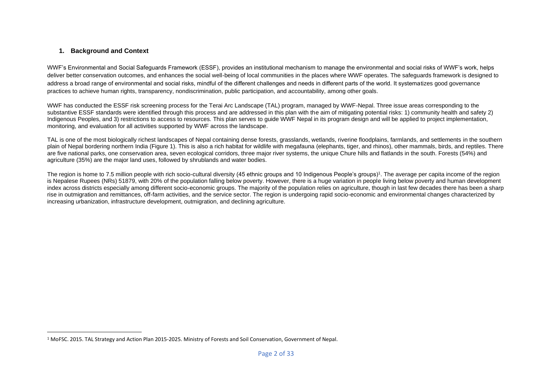## **1. Background and Context**

WWF's Environmental and Social Safeguards Framework (ESSF), provides an institutional mechanism to manage the environmental and social risks of WWF's work, helps deliver better conservation outcomes, and enhances the social well-being of local communities in the places where WWF operates. The safeguards framework is designed to address a broad range of environmental and social risks, mindful of the different challenges and needs in different parts of the world. It systematizes good governance practices to achieve human rights, transparency, nondiscrimination, public participation, and accountability, among other goals.

WWF has conducted the ESSF risk screening process for the Terai Arc Landscape (TAL) program, managed by WWF-Nepal. Three issue areas corresponding to the substantive ESSF standards were identified through this process and are addressed in this plan with the aim of mitigating potential risks: 1) community health and safety 2) Indigenous Peoples, and 3) restrictions to access to resources. This plan serves to quide WWF Nepal in its program design and will be applied to project implementation. monitoring, and evaluation for all activities supported by WWF across the landscape.

TAL is one of the most biologically richest landscapes of Nepal containing dense forests, grasslands, wetlands, riverine floodplains, farmlands, and settlements in the southern plain of Nepal bordering northern India (Figure 1). This is also a rich habitat for wildlife with megafauna (elephants, tiger, and rhinos), other mammals, birds, and reptiles. There are five national parks, one conservation area, seven ecological corridors, three major river systems, the unique Chure hills and flatlands in the south. Forests (54%) and agriculture (35%) are the major land uses, followed by shrublands and water bodies.

The region is home to 7.5 million people with rich socio-cultural diversity (45 ethnic groups and 10 Indigenous People's groups)<sup>1</sup>. The average per capita income of the region is Nepalese Rupees (NRs) 51879, with 20% of the population falling below poverty. However, there is a huge variation in people living below poverty and human development index across districts especially among different socio-economic groups. The majority of the population relies on agriculture, though in last few decades there has been a sharp rise in outmigration and remittances, off-farm activities, and the service sector. The region is undergoing rapid socio-economic and environmental changes characterized by increasing urbanization, infrastructure development, outmigration, and declining agriculture.

<sup>1</sup> MoFSC. 2015. TAL Strategy and Action Plan 2015-2025. Ministry of Forests and Soil Conservation, Government of Nepal.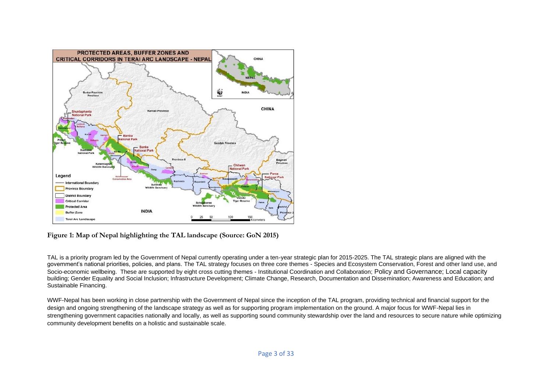

**Figure 1: Map of Nepal highlighting the TAL landscape (Source: GoN 2015)**

TAL is a priority program led by the Government of Nepal currently operating under a ten-year strategic plan for 2015-2025. The TAL strategic plans are aligned with the government's national priorities, policies, and plans. The TAL strategy focuses on three core themes - Species and Ecosystem Conservation, Forest and other land use, and Socio-economic wellbeing. These are supported by eight cross cutting themes - Institutional Coordination and Collaboration; Policy and Governance; Local capacity building; Gender Equality and Social Inclusion; Infrastructure Development; Climate Change, Research, Documentation and Dissemination; Awareness and Education; and Sustainable Financing.

WWF-Nepal has been working in close partnership with the Government of Nepal since the inception of the TAL program, providing technical and financial support for the design and ongoing strengthening of the landscape strategy as well as for supporting program implementation on the ground. A major focus for WWF-Nepal lies in strengthening government capacities nationally and locally, as well as supporting sound community stewardship over the land and resources to secure nature while optimizing community development benefits on a holistic and sustainable scale.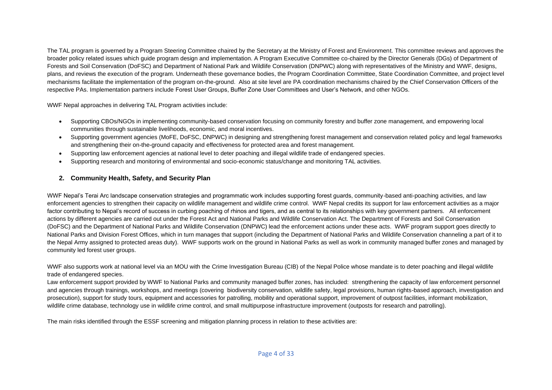The TAL program is governed by a Program Steering Committee chaired by the Secretary at the Ministry of Forest and Environment. This committee reviews and approves the broader policy related issues which guide program design and implementation. A Program Executive Committee co-chaired by the Director Generals (DGs) of Department of Forests and Soil Conservation (DoFSC) and Department of National Park and Wildlife Conservation (DNPWC) along with representatives of the Ministry and WWF, designs, plans, and reviews the execution of the program. Underneath these governance bodies, the Program Coordination Committee, State Coordination Committee, and project level mechanisms facilitate the implementation of the program on-the-ground. Also at site level are PA coordination mechanisms chaired by the Chief Conservation Officers of the respective PAs. Implementation partners include Forest User Groups, Buffer Zone User Committees and User's Network, and other NGOs.

WWF Nepal approaches in delivering TAL Program activities include:

- Supporting CBOs/NGOs in implementing community-based conservation focusing on community forestry and buffer zone management, and empowering local communities through sustainable livelihoods, economic, and moral incentives.
- Supporting government agencies (MoFE, DoFSC, DNPWC) in designing and strengthening forest management and conservation related policy and legal frameworks and strengthening their on-the-ground capacity and effectiveness for protected area and forest management.
- Supporting law enforcement agencies at national level to deter poaching and illegal wildlife trade of endangered species.
- Supporting research and monitoring of environmental and socio-economic status/change and monitoring TAL activities.

## **2. Community Health, Safety, and Security Plan**

WWF Nepal's Terai Arc landscape conservation strategies and programmatic work includes supporting forest guards, community-based anti-poaching activities, and law enforcement agencies to strengthen their capacity on wildlife management and wildlife crime control. WWF Nepal credits its support for law enforcement activities as a major factor contributing to Nepal's record of success in curbing poaching of rhinos and tigers, and as central to its relationships with key government partners. All enforcement actions by different agencies are carried out under the Forest Act and National Parks and Wildlife Conservation Act. The Department of Forests and Soil Conservation (DoFSC) and the Department of National Parks and Wildlife Conservation (DNPWC) lead the enforcement actions under these acts. WWF program support goes directly to National Parks and Division Forest Offices, which in turn manages that support (including the Department of National Parks and Wildlife Conservation channeling a part of it to the Nepal Army assigned to protected areas duty). WWF supports work on the ground in National Parks as well as work in community managed buffer zones and managed by community led forest user groups.

WWF also supports work at national level via an MOU with the Crime Investigation Bureau (CIB) of the Nepal Police whose mandate is to deter poaching and illegal wildlife trade of endangered species.

Law enforcement support provided by WWF to National Parks and community managed buffer zones, has included: strengthening the capacity of law enforcement personnel and agencies through trainings, workshops, and meetings (covering biodiversity conservation, wildlife safety, legal provisions, human rights-based approach, investigation and prosecution), support for study tours, equipment and accessories for patrolling, mobility and operational support, improvement of outpost facilities, informant mobilization, wildlife crime database, technology use in wildlife crime control, and small multipurpose infrastructure improvement (outposts for research and patrolling).

The main risks identified through the ESSF screening and mitigation planning process in relation to these activities are: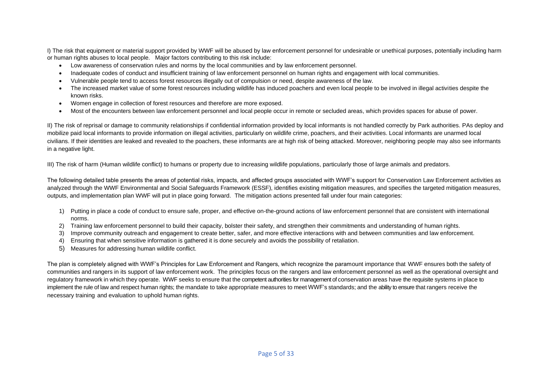I) The risk that equipment or material support provided by WWF will be abused by law enforcement personnel for undesirable or unethical purposes, potentially including harm or human rights abuses to local people. Major factors contributing to this risk include:

- Low awareness of conservation rules and norms by the local communities and by law enforcement personnel.
- Inadequate codes of conduct and insufficient training of law enforcement personnel on human rights and engagement with local communities.
- Vulnerable people tend to access forest resources illegally out of compulsion or need, despite awareness of the law.
- The increased market value of some forest resources including wildlife has induced poachers and even local people to be involved in illegal activities despite the known risks.
- Women engage in collection of forest resources and therefore are more exposed.
- Most of the encounters between law enforcement personnel and local people occur in remote or secluded areas, which provides spaces for abuse of power.

II) The risk of reprisal or damage to community relationships if confidential information provided by local informants is not handled correctly by Park authorities. PAs deploy and mobilize paid local informants to provide information on illegal activities, particularly on wildlife crime, poachers, and their activities. Local informants are unarmed local civilians. If their identities are leaked and revealed to the poachers, these informants are at high risk of being attacked. Moreover, neighboring people may also see informants in a negative light.

III) The risk of harm (Human wildlife conflict) to humans or property due to increasing wildlife populations, particularly those of large animals and predators.

The following detailed table presents the areas of potential risks, impacts, and affected groups associated with WWF's support for Conservation Law Enforcement activities as analyzed through the WWF Environmental and Social Safeguards Framework (ESSF), identifies existing mitigation measures, and specifies the targeted mitigation measures, outputs, and implementation plan WWF will put in place going forward. The mitigation actions presented fall under four main categories:

- 1) Putting in place a code of conduct to ensure safe, proper, and effective on-the-ground actions of law enforcement personnel that are consistent with international norms.
- 2) Training law enforcement personnel to build their capacity, bolster their safety, and strengthen their commitments and understanding of human rights.
- 3) Improve community outreach and engagement to create better, safer, and more effective interactions with and between communities and law enforcement.
- 4) Ensuring that when sensitive information is gathered it is done securely and avoids the possibility of retaliation.
- 5) Measures for addressing human wildlife conflict.

The plan is completely aligned with WWF's Principles for Law Enforcement and Rangers, which recognize the paramount importance that WWF ensures both the safety of communities and rangers in its support of law enforcement work. The principles focus on the rangers and law enforcement personnel as well as the operational oversight and regulatory framework in which they operate. WWF seeks to ensure that the competent authorities for management of conservation areas have the requisite systems in place to implement the rule of law and respect human rights; the mandate to take appropriate measures to meet WWF's standards; and the ability to ensure that rangers receive the necessary training and evaluation to uphold human rights.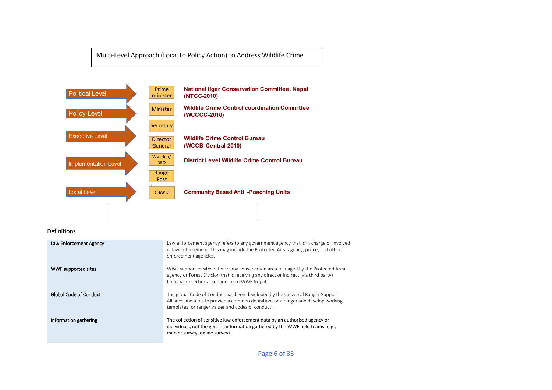Multi-Level Approach (Local to Policy Action) to Address Wildlife Crime



#### Definitions

| Law Enforcement Agency        | Law enforcement agency refers to any government agency that is in charge or involved<br>in law enforcement. This may include the Protected Area agency, police, and other<br>enforcement agencies.                         |
|-------------------------------|----------------------------------------------------------------------------------------------------------------------------------------------------------------------------------------------------------------------------|
| WWF supported sites           | WWF supported sites refer to any conservation area managed by the Protected Area<br>agency or Forest Division that is receiving any direct or indirect (via third party)<br>financial or technical support from WWF Nepal. |
| <b>Global Code of Conduct</b> | The global Code of Conduct has been developed by the Universal Ranger Support<br>Alliance and aims to provide a common definition for a ranger and develop working<br>templates for ranger values and codes of conduct.    |
| Information gathering         | The collection of sensitive law enforcement data by an authorised agency or<br>individuals, not the generic information gathered by the WWF field teams (e.g.,<br>market survey, online survey).                           |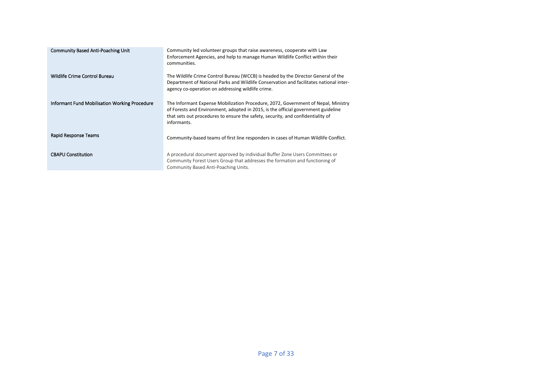| <b>Community Based Anti-Poaching Unit</b>     | Community led volunteer groups that raise awareness, cooperate with Law<br>Enforcement Agencies, and help to manage Human Wildlife Conflict within their<br>communities.                                                                                                 |
|-----------------------------------------------|--------------------------------------------------------------------------------------------------------------------------------------------------------------------------------------------------------------------------------------------------------------------------|
| Wildlife Crime Control Bureau                 | The Wildlife Crime Control Bureau (WCCB) is headed by the Director General of the<br>Department of National Parks and Wildlife Conservation and facilitates national inter-<br>agency co-operation on addressing wildlife crime.                                         |
| Informant Fund Mobilisation Working Procedure | The Informant Expense Mobilization Procedure, 2072, Government of Nepal, Ministry<br>of Forests and Environment, adopted in 2015, is the official government guideline<br>that sets out procedures to ensure the safety, security, and confidentiality of<br>informants. |
| Rapid Response Teams                          | Community-based teams of first line responders in cases of Human Wildlife Conflict.                                                                                                                                                                                      |
| <b>CBAPU Constitution</b>                     | A procedural document approved by individual Buffer Zone Users Committees or<br>Community Forest Users Group that addresses the formation and functioning of<br>Community Based Anti-Poaching Units.                                                                     |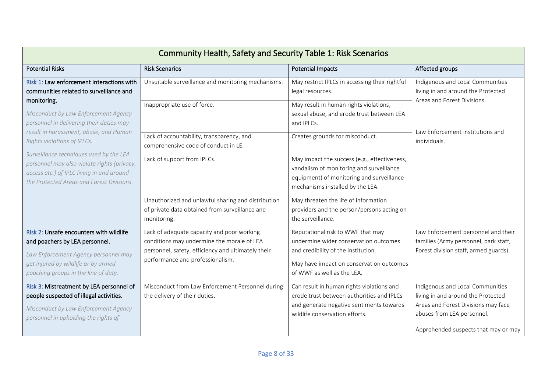| Community Health, Safety and Security Table 1: Risk Scenarios                                                                                                                                    |                                                                                                                                                                                    |                                                                                                                                                                                             |                                                                                                                                                                                     |  |  |
|--------------------------------------------------------------------------------------------------------------------------------------------------------------------------------------------------|------------------------------------------------------------------------------------------------------------------------------------------------------------------------------------|---------------------------------------------------------------------------------------------------------------------------------------------------------------------------------------------|-------------------------------------------------------------------------------------------------------------------------------------------------------------------------------------|--|--|
| <b>Potential Risks</b>                                                                                                                                                                           | <b>Risk Scenarios</b>                                                                                                                                                              | <b>Potential Impacts</b>                                                                                                                                                                    | Affected groups                                                                                                                                                                     |  |  |
| Risk 1: Law enforcement interactions with<br>communities related to surveillance and                                                                                                             | Unsuitable surveillance and monitoring mechanisms.                                                                                                                                 | May restrict IPLCs in accessing their rightful<br>legal resources.                                                                                                                          | Indigenous and Local Communities<br>living in and around the Protected                                                                                                              |  |  |
| monitoring.<br>Misconduct by Law Enforcement Agency<br>personnel in delivering their duties may                                                                                                  | Inappropriate use of force.                                                                                                                                                        | May result in human rights violations,<br>sexual abuse, and erode trust between LEA<br>and IPLCs.                                                                                           | Areas and Forest Divisions.<br>Law Enforcement institutions and                                                                                                                     |  |  |
| result in harassment, abuse, and Human<br>Rights violations of IPLCs.                                                                                                                            | Lack of accountability, transparency, and<br>comprehensive code of conduct in LE.                                                                                                  | Creates grounds for misconduct.                                                                                                                                                             | individuals.                                                                                                                                                                        |  |  |
| Surveillance techniques used by the LEA<br>personnel may also violate rights (privacy,<br>access etc.) of IPLC living in and around<br>the Protected Areas and Forest Divisions.                 | Lack of support from IPLCs.                                                                                                                                                        | May impact the success (e.g., effectiveness,<br>vandalism of monitoring and surveillance<br>equipment) of monitoring and surveillance<br>mechanisms installed by the LEA.                   |                                                                                                                                                                                     |  |  |
|                                                                                                                                                                                                  | Unauthorized and unlawful sharing and distribution<br>of private data obtained from surveillance and<br>monitoring.                                                                | May threaten the life of information<br>providers and the person/persons acting on<br>the surveillance.                                                                                     |                                                                                                                                                                                     |  |  |
| Risk 2: Unsafe encounters with wildlife<br>and poachers by LEA personnel.<br>Law Enforcement Agency personnel may<br>get injured by wildlife or by armed<br>poaching groups in the line of duty. | Lack of adequate capacity and poor working<br>conditions may undermine the morale of LEA<br>personnel, safety, efficiency and ultimately their<br>performance and professionalism. | Reputational risk to WWF that may<br>undermine wider conservation outcomes<br>and credibility of the institution.<br>May have impact on conservation outcomes<br>of WWF as well as the LEA. | Law Enforcement personnel and their<br>families (Army personnel, park staff,<br>Forest division staff, armed guards).                                                               |  |  |
| Risk 3: Mistreatment by LEA personnel of<br>people suspected of illegal activities.<br>Misconduct by Law Enforcement Agency<br>personnel in upholding the rights of                              | Misconduct from Law Enforcement Personnel during<br>the delivery of their duties.                                                                                                  | Can result in human rights violations and<br>erode trust between authorities and IPLCs<br>and generate negative sentiments towards<br>wildlife conservation efforts.                        | Indigenous and Local Communities<br>living in and around the Protected<br>Areas and Forest Divisions may face<br>abuses from LEA personnel.<br>Apprehended suspects that may or may |  |  |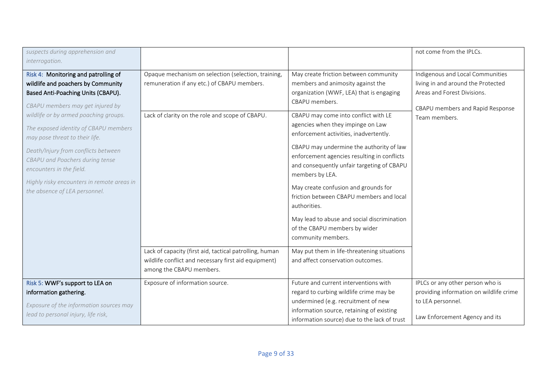| suspects during apprehension and                                                                                                                                                                                                                                                                                                                                                                                                                              |                                                                                                                                                       |                                                                                                                                                                                                                                                                                                                                                                                                                                                                                                                                                                                                                                       | not come from the IPLCs.                                                                                                                                   |
|---------------------------------------------------------------------------------------------------------------------------------------------------------------------------------------------------------------------------------------------------------------------------------------------------------------------------------------------------------------------------------------------------------------------------------------------------------------|-------------------------------------------------------------------------------------------------------------------------------------------------------|---------------------------------------------------------------------------------------------------------------------------------------------------------------------------------------------------------------------------------------------------------------------------------------------------------------------------------------------------------------------------------------------------------------------------------------------------------------------------------------------------------------------------------------------------------------------------------------------------------------------------------------|------------------------------------------------------------------------------------------------------------------------------------------------------------|
| interrogation.                                                                                                                                                                                                                                                                                                                                                                                                                                                |                                                                                                                                                       |                                                                                                                                                                                                                                                                                                                                                                                                                                                                                                                                                                                                                                       |                                                                                                                                                            |
| Risk 4: Monitoring and patrolling of<br>wildlife and poachers by Community<br>Based Anti-Poaching Units (CBAPU).<br>CBAPU members may get injured by<br>wildlife or by armed poaching groups.<br>The exposed identity of CBAPU members<br>may pose threat to their life.<br>Death/Injury from conflicts between<br>CBAPU and Poachers during tense<br>encounters in the field.<br>Highly risky encounters in remote areas in<br>the absence of LEA personnel. | Opaque mechanism on selection (selection, training,<br>remuneration if any etc.) of CBAPU members.<br>Lack of clarity on the role and scope of CBAPU. | May create friction between community<br>members and animosity against the<br>organization (WWF, LEA) that is engaging<br>CBAPU members.<br>CBAPU may come into conflict with LE<br>agencies when they impinge on Law<br>enforcement activities, inadvertently.<br>CBAPU may undermine the authority of law<br>enforcement agencies resulting in conflicts<br>and consequently unfair targeting of CBAPU<br>members by LEA.<br>May create confusion and grounds for<br>friction between CBAPU members and local<br>authorities.<br>May lead to abuse and social discrimination<br>of the CBAPU members by wider<br>community members. | Indigenous and Local Communities<br>living in and around the Protected<br>Areas and Forest Divisions.<br>CBAPU members and Rapid Response<br>Team members. |
|                                                                                                                                                                                                                                                                                                                                                                                                                                                               | Lack of capacity (first aid, tactical patrolling, human<br>wildlife conflict and necessary first aid equipment)<br>among the CBAPU members.           | May put them in life-threatening situations<br>and affect conservation outcomes.                                                                                                                                                                                                                                                                                                                                                                                                                                                                                                                                                      |                                                                                                                                                            |
| Risk 5: WWF's support to LEA on<br>information gathering.<br>Exposure of the information sources may<br>lead to personal injury, life risk,                                                                                                                                                                                                                                                                                                                   | Exposure of information source.                                                                                                                       | Future and current interventions with<br>regard to curbing wildlife crime may be<br>undermined (e.g. recruitment of new<br>information source, retaining of existing<br>information source) due to the lack of trust                                                                                                                                                                                                                                                                                                                                                                                                                  | IPLCs or any other person who is<br>providing information on wildlife crime<br>to LEA personnel.<br>Law Enforcement Agency and its                         |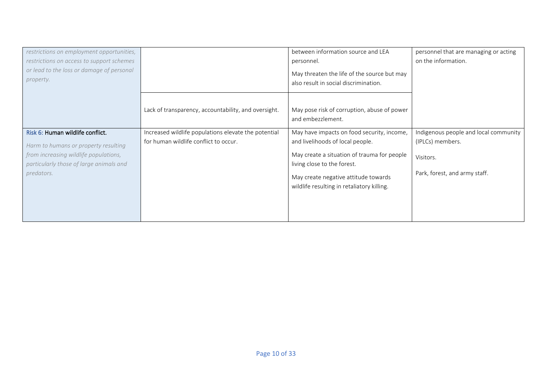| restrictions on employment opportunities,              |                                                                                               | between information source and LEA                               | personnel that are managing or acting |
|--------------------------------------------------------|-----------------------------------------------------------------------------------------------|------------------------------------------------------------------|---------------------------------------|
| restrictions on access to support schemes              |                                                                                               | personnel.                                                       | on the information.                   |
| or lead to the loss or damage of personal<br>property. |                                                                                               | May threaten the life of the source but may                      |                                       |
|                                                        |                                                                                               | also result in social discrimination.                            |                                       |
|                                                        |                                                                                               |                                                                  |                                       |
|                                                        | Lack of transparency, accountability, and oversight.                                          | May pose risk of corruption, abuse of power<br>and embezzlement. |                                       |
| Risk 6: Human wildlife conflict.                       |                                                                                               |                                                                  |                                       |
|                                                        | Increased wildlife populations elevate the potential<br>for human wildlife conflict to occur. | May have impacts on food security, income,                       | Indigenous people and local community |
| Harm to humans or property resulting                   |                                                                                               | and livelihoods of local people.                                 | (IPLCs) members.                      |
| from increasing wildlife populations,                  |                                                                                               | May create a situation of trauma for people                      | Visitors.                             |
| particularly those of large animals and                |                                                                                               | living close to the forest.                                      |                                       |
| predators.                                             |                                                                                               | May create negative attitude towards                             | Park, forest, and army staff.         |
|                                                        |                                                                                               | wildlife resulting in retaliatory killing.                       |                                       |
|                                                        |                                                                                               |                                                                  |                                       |
|                                                        |                                                                                               |                                                                  |                                       |
|                                                        |                                                                                               |                                                                  |                                       |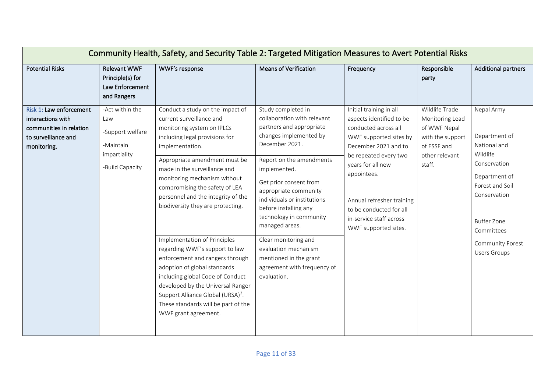| Community Health, Safety, and Security Table 2: Targeted Mitigation Measures to Avert Potential Risks         |                                                                                            |                                                                                                                                                                                                                                                                                                                                                                                                                                                                                                                                                                                                                                                                                             |                                                                                                                                                                                                                                                                                                                                                                                                                                                       |                                                                                                                                                                                                                                                                                                       |                                                                                                                  |                                                                                                                                                                                                            |
|---------------------------------------------------------------------------------------------------------------|--------------------------------------------------------------------------------------------|---------------------------------------------------------------------------------------------------------------------------------------------------------------------------------------------------------------------------------------------------------------------------------------------------------------------------------------------------------------------------------------------------------------------------------------------------------------------------------------------------------------------------------------------------------------------------------------------------------------------------------------------------------------------------------------------|-------------------------------------------------------------------------------------------------------------------------------------------------------------------------------------------------------------------------------------------------------------------------------------------------------------------------------------------------------------------------------------------------------------------------------------------------------|-------------------------------------------------------------------------------------------------------------------------------------------------------------------------------------------------------------------------------------------------------------------------------------------------------|------------------------------------------------------------------------------------------------------------------|------------------------------------------------------------------------------------------------------------------------------------------------------------------------------------------------------------|
| <b>Potential Risks</b>                                                                                        | Relevant WWF<br>Principle(s) for<br>Law Enforcement<br>and Rangers                         | WWF's response                                                                                                                                                                                                                                                                                                                                                                                                                                                                                                                                                                                                                                                                              | <b>Means of Verification</b>                                                                                                                                                                                                                                                                                                                                                                                                                          | Frequency                                                                                                                                                                                                                                                                                             | Responsible<br>party                                                                                             | <b>Additional partners</b>                                                                                                                                                                                 |
| Risk 1: Law enforcement<br>interactions with<br>communities in relation<br>to surveillance and<br>monitoring. | -Act within the<br>Law<br>-Support welfare<br>-Maintain<br>impartiality<br>-Build Capacity | Conduct a study on the impact of<br>current surveillance and<br>monitoring system on IPLCs<br>including legal provisions for<br>implementation.<br>Appropriate amendment must be<br>made in the surveillance and<br>monitoring mechanism without<br>compromising the safety of LEA<br>personnel and the integrity of the<br>biodiversity they are protecting.<br>Implementation of Principles<br>regarding WWF's support to law<br>enforcement and rangers through<br>adoption of global standards<br>including global Code of Conduct<br>developed by the Universal Ranger<br>Support Alliance Global (URSA) <sup>2</sup> .<br>These standards will be part of the<br>WWF grant agreement. | Study completed in<br>collaboration with relevant<br>partners and appropriate<br>changes implemented by<br>December 2021.<br>Report on the amendments<br>implemented.<br>Get prior consent from<br>appropriate community<br>individuals or institutions<br>before installing any<br>technology in community<br>managed areas.<br>Clear monitoring and<br>evaluation mechanism<br>mentioned in the grant<br>agreement with frequency of<br>evaluation. | Initial training in all<br>aspects identified to be<br>conducted across all<br>WWF supported sites by<br>December 2021 and to<br>be repeated every two<br>years for all new<br>appointees.<br>Annual refresher training<br>to be conducted for all<br>in-service staff across<br>WWF supported sites. | Wildlife Trade<br>Monitoring Lead<br>of WWF Nepal<br>with the support<br>of ESSF and<br>other relevant<br>staff. | Nepal Army<br>Department of<br>National and<br>Wildlife<br>Conservation<br>Department of<br>Forest and Soil<br>Conservation<br><b>Buffer Zone</b><br>Committees<br>Community Forest<br><b>Users Groups</b> |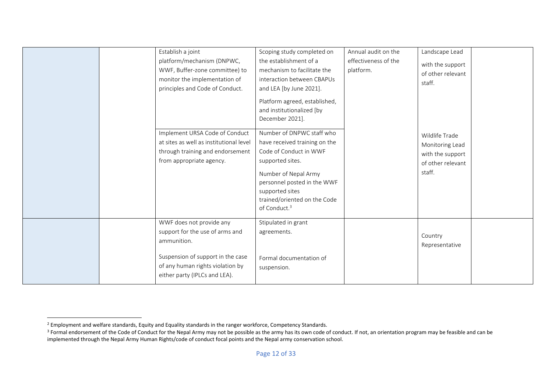| Establish a joint<br>platform/mechanism (DNPWC,<br>WWF, Buffer-zone committee) to<br>monitor the implementation of<br>principles and Code of Conduct.<br>Implement URSA Code of Conduct<br>at sites as well as institutional level<br>through training and endorsement<br>from appropriate agency. | Scoping study completed on<br>the establishment of a<br>mechanism to facilitate the<br>interaction between CBAPUs<br>and LEA [by June 2021].<br>Platform agreed, established,<br>and institutionalized [by<br>December 2021].<br>Number of DNPWC staff who<br>have received training on the<br>Code of Conduct in WWF<br>supported sites.<br>Number of Nepal Army<br>personnel posted in the WWF<br>supported sites<br>trained/oriented on the Code<br>of Conduct. <sup>3</sup> | Annual audit on the<br>effectiveness of the<br>platform. | Landscape Lead<br>with the support<br>of other relevant<br>staff.<br>Wildlife Trade<br>Monitoring Lead<br>with the support<br>of other relevant<br>staff. |  |
|----------------------------------------------------------------------------------------------------------------------------------------------------------------------------------------------------------------------------------------------------------------------------------------------------|---------------------------------------------------------------------------------------------------------------------------------------------------------------------------------------------------------------------------------------------------------------------------------------------------------------------------------------------------------------------------------------------------------------------------------------------------------------------------------|----------------------------------------------------------|-----------------------------------------------------------------------------------------------------------------------------------------------------------|--|
| WWF does not provide any<br>support for the use of arms and<br>ammunition.<br>Suspension of support in the case<br>of any human rights violation by<br>either party (IPLCs and LEA).                                                                                                               | Stipulated in grant<br>agreements.<br>Formal documentation of<br>suspension.                                                                                                                                                                                                                                                                                                                                                                                                    |                                                          | Country<br>Representative                                                                                                                                 |  |

<sup>&</sup>lt;sup>2</sup> Employment and welfare standards, Equity and Equality standards in the ranger workforce, Competency Standards.

<sup>&</sup>lt;sup>3</sup> Formal endorsement of the Code of Conduct for the Nepal Army may not be possible as the army has its own code of conduct. If not, an orientation program may be feasible and can be implemented through the Nepal Army Human Rights/code of conduct focal points and the Nepal army conservation school.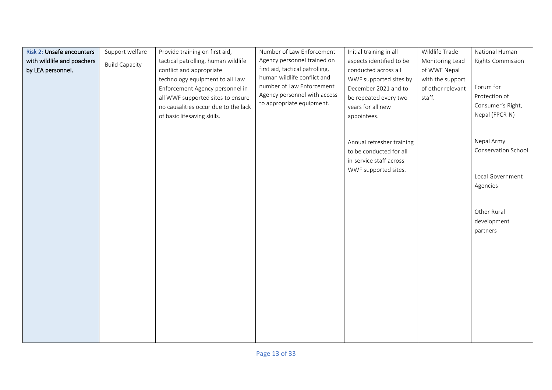| Risk 2: Unsafe encounters  | -Support welfare | Provide training on first aid,       | Number of Law Enforcement       | Initial training in all   | Wildlife Trade    | National Human           |
|----------------------------|------------------|--------------------------------------|---------------------------------|---------------------------|-------------------|--------------------------|
| with wildlife and poachers |                  | tactical patrolling, human wildlife  | Agency personnel trained on     | aspects identified to be  | Monitoring Lead   | <b>Rights Commission</b> |
| by LEA personnel.          | -Build Capacity  | conflict and appropriate             | first aid, tactical patrolling, | conducted across all      | of WWF Nepal      |                          |
|                            |                  | technology equipment to all Law      | human wildlife conflict and     | WWF supported sites by    | with the support  |                          |
|                            |                  | Enforcement Agency personnel in      | number of Law Enforcement       | December 2021 and to      | of other relevant | Forum for                |
|                            |                  | all WWF supported sites to ensure    | Agency personnel with access    | be repeated every two     | staff.            | Protection of            |
|                            |                  | no causalities occur due to the lack | to appropriate equipment.       | years for all new         |                   | Consumer's Right,        |
|                            |                  | of basic lifesaving skills.          |                                 | appointees.               |                   | Nepal (FPCR-N)           |
|                            |                  |                                      |                                 |                           |                   |                          |
|                            |                  |                                      |                                 |                           |                   |                          |
|                            |                  |                                      |                                 | Annual refresher training |                   | Nepal Army               |
|                            |                  |                                      |                                 | to be conducted for all   |                   | Conservation School      |
|                            |                  |                                      |                                 | in-service staff across   |                   |                          |
|                            |                  |                                      |                                 | WWF supported sites.      |                   |                          |
|                            |                  |                                      |                                 |                           |                   | Local Government         |
|                            |                  |                                      |                                 |                           |                   | Agencies                 |
|                            |                  |                                      |                                 |                           |                   |                          |
|                            |                  |                                      |                                 |                           |                   | Other Rural              |
|                            |                  |                                      |                                 |                           |                   | development              |
|                            |                  |                                      |                                 |                           |                   | partners                 |
|                            |                  |                                      |                                 |                           |                   |                          |
|                            |                  |                                      |                                 |                           |                   |                          |
|                            |                  |                                      |                                 |                           |                   |                          |
|                            |                  |                                      |                                 |                           |                   |                          |
|                            |                  |                                      |                                 |                           |                   |                          |
|                            |                  |                                      |                                 |                           |                   |                          |
|                            |                  |                                      |                                 |                           |                   |                          |
|                            |                  |                                      |                                 |                           |                   |                          |
|                            |                  |                                      |                                 |                           |                   |                          |
|                            |                  |                                      |                                 |                           |                   |                          |
|                            |                  |                                      |                                 |                           |                   |                          |
|                            |                  |                                      |                                 |                           |                   |                          |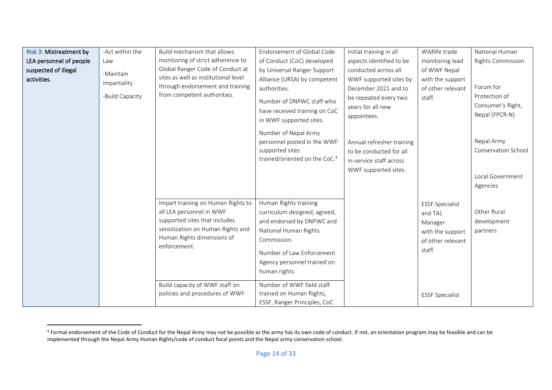| Risk 3: Mistreatment by<br>LEA personnel of people<br>suspected of illegal<br>activities. | -Act within the<br>Law<br>-Maintain | Build mechanism that allows<br>monitoring of strict adherence to<br>Global Ranger Code of Conduct at<br>sites as well as institutional level                                                                         | Endorsement of Global Code<br>of Conduct (CoC) developed<br>by Universal Ranger Support<br>Alliance (URSA) by competent                                                                                                              | Initial training in all<br>aspects identified to be<br>conducted across all<br>WWF supported sites by                                                                                        | Wildlife trade<br>monitoring lead<br>of WWF Nepal<br>with the support                           | National Human<br><b>Rights Commission</b>                                                                                             |
|-------------------------------------------------------------------------------------------|-------------------------------------|----------------------------------------------------------------------------------------------------------------------------------------------------------------------------------------------------------------------|--------------------------------------------------------------------------------------------------------------------------------------------------------------------------------------------------------------------------------------|----------------------------------------------------------------------------------------------------------------------------------------------------------------------------------------------|-------------------------------------------------------------------------------------------------|----------------------------------------------------------------------------------------------------------------------------------------|
| impartiality<br>-Build Capacity                                                           |                                     | through endorsement and training<br>from competent authorities.                                                                                                                                                      | authorities.<br>Number of DNPWC staff who<br>have received training on CoC<br>in WWF supported sites.<br>Number of Nepal Army<br>personnel posted in the WWF<br>supported sites<br>trained/oriented on the CoC. <sup>4</sup>         | December 2021 and to<br>be repeated every two<br>years for all new<br>appointees.<br>Annual refresher training<br>to be conducted for all<br>in-service staff across<br>WWF supported sites. | of other relevant<br>staff.                                                                     | Forum for<br>Protection of<br>Consumer's Right,<br>Nepal (FPCR-N)<br>Nepal Army<br>Conservation School<br>Local Government<br>Agencies |
|                                                                                           |                                     | Impart training on Human Rights to<br>all LEA personnel in WWF<br>supported sites that includes<br>sensitization on Human Rights and<br>Human Rights dimensions of<br>enforcement.<br>Build capacity of WWF staff on | Human Rights training<br>curriculum designed, agreed,<br>and endorsed by DNPWC and<br>National Human Rights<br>Commission.<br>Number of Law Enforcement<br>Agency personnel trained on<br>human rights.<br>Number of WWF field staff |                                                                                                                                                                                              | <b>ESSF Specialist</b><br>and TAL<br>Manager<br>with the support<br>of other relevant<br>staff. | Other Rural<br>development<br>partners                                                                                                 |
|                                                                                           |                                     | policies and procedures of WWF                                                                                                                                                                                       | trained on Human Rights,<br>ESSF, Ranger Principles, CoC                                                                                                                                                                             |                                                                                                                                                                                              | <b>ESSF Specialist</b>                                                                          |                                                                                                                                        |

<sup>&</sup>lt;sup>4</sup> Formal endorsement of the Code of Conduct for the Nepal Army may not be possible as the army has its own code of conduct. If not, an orientation program may be feasible and can be implemented through the Nepal Army Human Rights/code of conduct focal points and the Nepal army conservation school.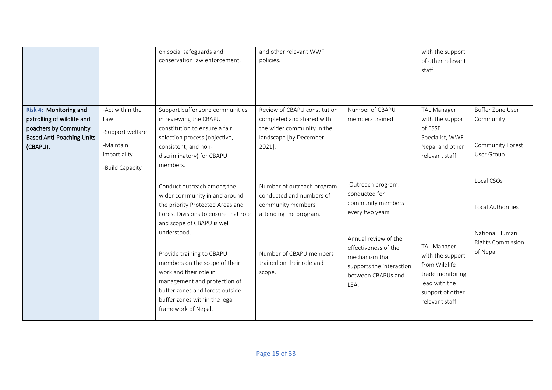|                                                                                                                               |                                                                                            | on social safeguards and<br>conservation law enforcement.                                                                                                                                                                                                                                                                                                                                               | and other relevant WWF<br>policies.                                                                                                                                     |                                                                                                                                                                                                         | with the support<br>of other relevant<br>staff.                                                                                     |                                                                                           |
|-------------------------------------------------------------------------------------------------------------------------------|--------------------------------------------------------------------------------------------|---------------------------------------------------------------------------------------------------------------------------------------------------------------------------------------------------------------------------------------------------------------------------------------------------------------------------------------------------------------------------------------------------------|-------------------------------------------------------------------------------------------------------------------------------------------------------------------------|---------------------------------------------------------------------------------------------------------------------------------------------------------------------------------------------------------|-------------------------------------------------------------------------------------------------------------------------------------|-------------------------------------------------------------------------------------------|
| Risk 4: Monitoring and<br>patrolling of wildlife and<br>poachers by Community<br><b>Based Anti-Poaching Units</b><br>(CBAPU). | -Act within the<br>Law<br>-Support welfare<br>-Maintain<br>impartiality<br>-Build Capacity | Support buffer zone communities<br>in reviewing the CBAPU<br>constitution to ensure a fair<br>selection process (objective,<br>consistent, and non-<br>discriminatory) for CBAPU<br>members.                                                                                                                                                                                                            | Review of CBAPU constitution<br>completed and shared with<br>the wider community in the<br>landscape [by December<br>2021].                                             | Number of CBAPU<br>members trained.                                                                                                                                                                     | <b>TAL Manager</b><br>with the support<br>of ESSF<br>Specialist, WWF<br>Nepal and other<br>relevant staff.                          | <b>Buffer Zone User</b><br>Community<br>Community Forest<br>User Group                    |
|                                                                                                                               |                                                                                            | Conduct outreach among the<br>wider community in and around<br>the priority Protected Areas and<br>Forest Divisions to ensure that role<br>and scope of CBAPU is well<br>understood.<br>Provide training to CBAPU<br>members on the scope of their<br>work and their role in<br>management and protection of<br>buffer zones and forest outside<br>buffer zones within the legal<br>framework of Nepal. | Number of outreach program<br>conducted and numbers of<br>community members<br>attending the program.<br>Number of CBAPU members<br>trained on their role and<br>scope. | Outreach program.<br>conducted for<br>community members<br>every two years.<br>Annual review of the<br>effectiveness of the<br>mechanism that<br>supports the interaction<br>between CBAPUs and<br>LEA. | <b>TAL Manager</b><br>with the support<br>from Wildlife<br>trade monitoring<br>lead with the<br>support of other<br>relevant staff. | Local CSOs<br>Local Authorities<br>National Human<br><b>Rights Commission</b><br>of Nepal |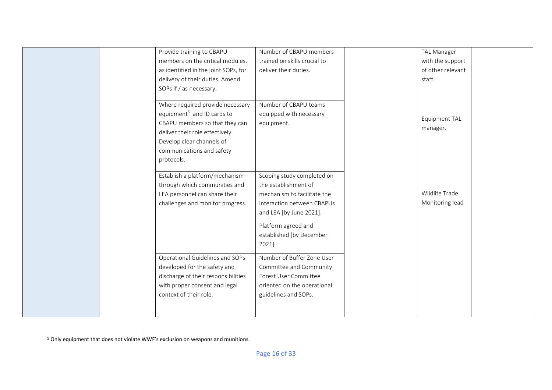| Provide training to CBAPU<br>members on the critical modules,<br>as identified in the joint SOPs, for<br>delivery of their duties. Amend<br>SOPs if / as necessary.                                                     | Number of CBAPU members<br>trained on skills crucial to<br>deliver their duties.                                                                                                                        | <b>TAL Manager</b><br>with the support<br>of other relevant<br>staff. |  |
|-------------------------------------------------------------------------------------------------------------------------------------------------------------------------------------------------------------------------|---------------------------------------------------------------------------------------------------------------------------------------------------------------------------------------------------------|-----------------------------------------------------------------------|--|
| Where required provide necessary<br>equipment <sup>5</sup> and ID cards to<br>CBAPU members so that they can<br>deliver their role effectively.<br>Develop clear channels of<br>communications and safety<br>protocols. | Number of CBAPU teams<br>equipped with necessary<br>equipment.                                                                                                                                          | Equipment TAL<br>manager.                                             |  |
| Establish a platform/mechanism<br>through which communities and<br>LEA personnel can share their<br>challenges and monitor progress.                                                                                    | Scoping study completed on<br>the establishment of<br>mechanism to facilitate the<br>interaction between CBAPUs<br>and LEA [by June 2021].<br>Platform agreed and<br>established [by December<br>2021]. | Wildlife Trade<br>Monitoring lead                                     |  |
| Operational Guidelines and SOPs<br>developed for the safety and<br>discharge of their responsibilities<br>with proper consent and legal<br>context of their role.                                                       | Number of Buffer Zone User<br>Committee and Community<br>Forest User Committee<br>oriented on the operational<br>guidelines and SOPs.                                                                   |                                                                       |  |

 $5$  Only equipment that does not violate WWF's exclusion on weapons and munitions.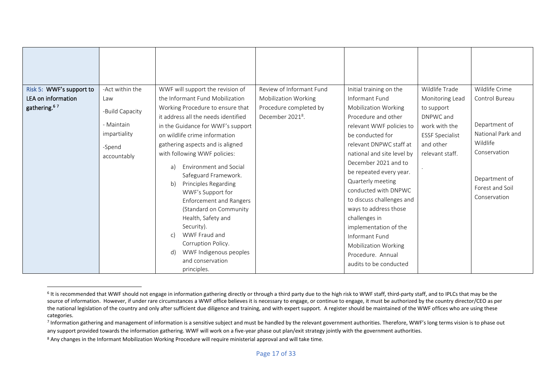| Risk 5: WWF's support to | -Act within the | WWF will support the revision of    | Review of Informant Fund     | Initial training on the     | Wildlife Trade         | Wildlife Crime    |
|--------------------------|-----------------|-------------------------------------|------------------------------|-----------------------------|------------------------|-------------------|
| LEA on information       | Law             | the Informant Fund Mobilization     | <b>Mobilization Working</b>  | Informant Fund              | Monitoring Lead        | Control Bureau    |
| gathering. <sup>67</sup> | -Build Capacity | Working Procedure to ensure that    | Procedure completed by       | <b>Mobilization Working</b> | to support             |                   |
|                          |                 | it address all the needs identified | December 2021 <sup>8</sup> . | Procedure and other         | DNPWC and              |                   |
|                          | - Maintain      | in the Guidance for WWF's support   |                              | relevant WWF policies to    | work with the          | Department of     |
|                          | impartiality    | on wildlife crime information       |                              | be conducted for            | <b>ESSF Specialist</b> | National Park and |
|                          | -Spend          | gathering aspects and is aligned    |                              | relevant DNPWC staff at     | and other              | Wildlife          |
|                          | accountably     | with following WWF policies:        |                              | national and site level by  | relevant staff.        | Conservation      |
|                          |                 | Environment and Social<br>a)        |                              | December 2021 and to        |                        |                   |
|                          |                 | Safeguard Framework.                |                              | be repeated every year.     |                        |                   |
|                          |                 | Principles Regarding<br>b)          |                              | Quarterly meeting           |                        | Department of     |
|                          |                 | WWF's Support for                   |                              | conducted with DNPWC        |                        | Forest and Soil   |
|                          |                 | <b>Enforcement and Rangers</b>      |                              | to discuss challenges and   |                        | Conservation      |
|                          |                 | (Standard on Community              |                              | ways to address those       |                        |                   |
|                          |                 | Health, Safety and                  |                              | challenges in               |                        |                   |
|                          |                 | Security).                          |                              | implementation of the       |                        |                   |
|                          |                 | WWF Fraud and<br>$\mathsf{C}$       |                              | Informant Fund              |                        |                   |
|                          |                 | Corruption Policy.                  |                              | <b>Mobilization Working</b> |                        |                   |
|                          |                 | WWF Indigenous peoples<br>d)        |                              | Procedure. Annual           |                        |                   |
|                          |                 | and conservation                    |                              | audits to be conducted      |                        |                   |
|                          |                 | principles.                         |                              |                             |                        |                   |

<sup>&</sup>lt;sup>6</sup> It is recommended that WWF should not engage in information gathering directly or through a third party due to the high risk to WWF staff, third-party staff, and to IPLCs that may be the source of information. However, if under rare circumstances a WWF office believes it is necessary to engage, or continue to engage, it must be authorized by the country director/CEO as per the national legislation of the country and only after sufficient due diligence and training, and with expert support. A register should be maintained of the WWF offices who are using these categories.

<sup>&</sup>lt;sup>7</sup> Information gathering and management of information is a sensitive subject and must be handled by the relevant government authorities. Therefore, WWF's long terms vision is to phase out any support provided towards the information gathering. WWF will work on a five-year phase out plan/exit strategy jointly with the government authorities.

<sup>8</sup> Any changes in the Informant Mobilization Working Procedure will require ministerial approval and will take time.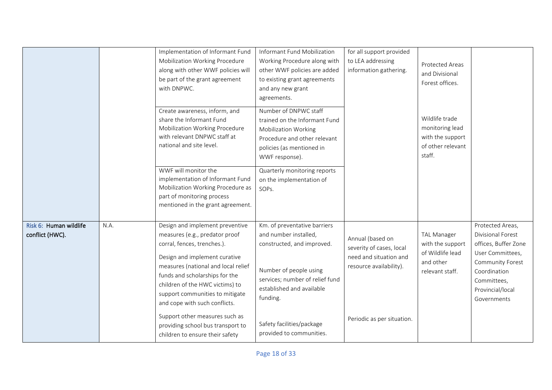|                                           |      | Implementation of Informant Fund<br>Mobilization Working Procedure<br>along with other WWF policies will<br>be part of the grant agreement<br>with DNPWC.                                                                                                                                                         | Informant Fund Mobilization<br>Working Procedure along with<br>other WWF policies are added<br>to existing grant agreements<br>and any new grant<br>agreements.                           | for all support provided<br>to LEA addressing<br>information gathering.                           | Protected Areas<br>and Divisional<br>Forest offices.                                       |                                                                                                                                                                         |
|-------------------------------------------|------|-------------------------------------------------------------------------------------------------------------------------------------------------------------------------------------------------------------------------------------------------------------------------------------------------------------------|-------------------------------------------------------------------------------------------------------------------------------------------------------------------------------------------|---------------------------------------------------------------------------------------------------|--------------------------------------------------------------------------------------------|-------------------------------------------------------------------------------------------------------------------------------------------------------------------------|
|                                           |      | Create awareness, inform, and<br>share the Informant Fund<br>Mobilization Working Procedure<br>with relevant DNPWC staff at<br>national and site level.                                                                                                                                                           | Number of DNPWC staff<br>trained on the Informant Fund<br><b>Mobilization Working</b><br>Procedure and other relevant<br>policies (as mentioned in<br>WWF response).                      |                                                                                                   | Wildlife trade<br>monitoring lead<br>with the support<br>of other relevant<br>staff.       |                                                                                                                                                                         |
|                                           |      | WWF will monitor the<br>implementation of Informant Fund<br>Mobilization Working Procedure as<br>part of monitoring process<br>mentioned in the grant agreement.                                                                                                                                                  | Quarterly monitoring reports<br>on the implementation of<br>SOPs.                                                                                                                         |                                                                                                   |                                                                                            |                                                                                                                                                                         |
| Risk 6: Human wildlife<br>conflict (HWC). | N.A. | Design and implement preventive<br>measures (e.g., predator proof<br>corral, fences, trenches.).<br>Design and implement curative<br>measures (national and local relief<br>funds and scholarships for the<br>children of the HWC victims) to<br>support communities to mitigate<br>and cope with such conflicts. | Km. of preventative barriers<br>and number installed,<br>constructed, and improved.<br>Number of people using<br>services; number of relief fund<br>established and available<br>funding. | Annual (based on<br>severity of cases, local<br>need and situation and<br>resource availability). | <b>TAL Manager</b><br>with the support<br>of Wildlife lead<br>and other<br>relevant staff. | Protected Areas,<br>Divisional Forest<br>offices, Buffer Zone<br>User Committees,<br>Community Forest<br>Coordination<br>Committees,<br>Provincial/local<br>Governments |
|                                           |      | Support other measures such as<br>providing school bus transport to<br>children to ensure their safety                                                                                                                                                                                                            | Safety facilities/package<br>provided to communities.                                                                                                                                     | Periodic as per situation.                                                                        |                                                                                            |                                                                                                                                                                         |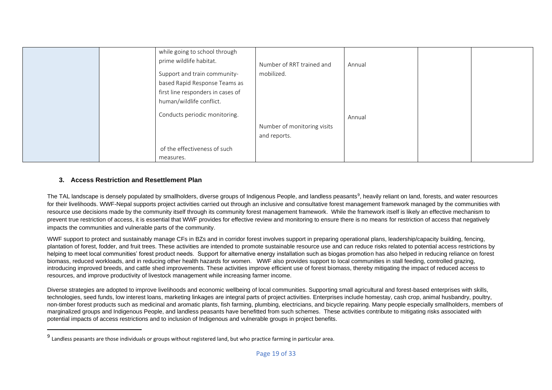|  | while going to school through<br>prime wildlife habitat. | Number of RRT trained and   | Annual |  |
|--|----------------------------------------------------------|-----------------------------|--------|--|
|  | Support and train community-                             | mobilized.                  |        |  |
|  | based Rapid Response Teams as                            |                             |        |  |
|  | first line responders in cases of                        |                             |        |  |
|  | human/wildlife conflict.                                 |                             |        |  |
|  | Conducts periodic monitoring.                            |                             | Annual |  |
|  |                                                          | Number of monitoring visits |        |  |
|  |                                                          | and reports.                |        |  |
|  | of the effectiveness of such                             |                             |        |  |
|  | measures.                                                |                             |        |  |

## **3. Access Restriction and Resettlement Plan**

The TAL landscape is densely populated by smallholders, diverse groups of Indigenous People, and landless peasants<sup>9</sup>, heavily reliant on land, forests, and water resources for their livelihoods. WWF-Nepal supports project activities carried out through an inclusive and consultative forest management framework managed by the communities with resource use decisions made by the community itself through its community forest management framework. While the framework itself is likely an effective mechanism to prevent true restriction of access, it is essential that WWF provides for effective review and monitoring to ensure there is no means for restriction of access that negatively impacts the communities and vulnerable parts of the community.

WWF support to protect and sustainably manage CFs in BZs and in corridor forest involves support in preparing operational plans, leadership/capacity building, fencing, plantation of forest, fodder, and fruit trees. These activities are intended to promote sustainable resource use and can reduce risks related to potential access restrictions by helping to meet local communities' forest product needs. Support for alternative energy installation such as biogas promotion has also helped in reducing reliance on forest biomass, reduced workloads, and in reducing other health hazards for women. WWF also provides support to local communities in stall feeding, controlled grazing, introducing improved breeds, and cattle shed improvements. These activities improve efficient use of forest biomass, thereby mitigating the impact of reduced access to resources, and improve productivity of livestock management while increasing farmer income.

Diverse strategies are adopted to improve livelihoods and economic wellbeing of local communities. Supporting small agricultural and forest-based enterprises with skills, technologies, seed funds, low interest loans, marketing linkages are integral parts of project activities. Enterprises include homestay, cash crop, animal husbandry, poultry, non-timber forest products such as medicinal and aromatic plants, fish farming, plumbing, electricians, and bicycle repairing. Many people especially smallholders, members of marginalized groups and Indigenous People, and landless peasants have benefitted from such schemes. These activities contribute to mitigating risks associated with potential impacts of access restrictions and to inclusion of Indigenous and vulnerable groups in project benefits.

<sup>&</sup>lt;sup>9</sup> Landless peasants are those individuals or groups without registered land, but who practice farming in particular area.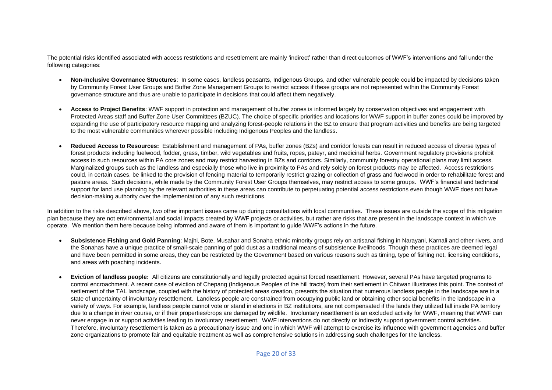The potential risks identified associated with access restrictions and resettlement are mainly 'indirect' rather than direct outcomes of WWF's interventions and fall under the following categories:

- **Non-Inclusive Governance Structures**: In some cases, landless peasants, Indigenous Groups, and other vulnerable people could be impacted by decisions taken by Community Forest User Groups and Buffer Zone Management Groups to restrict access if these groups are not represented within the Community Forest governance structure and thus are unable to participate in decisions that could affect them negatively.
- **Access to Project Benefits**: WWF support in protection and management of buffer zones is informed largely by conservation objectives and engagement with Protected Areas staff and Buffer Zone User Committees (BZUC). The choice of specific priorities and locations for WWF support in buffer zones could be improved by expanding the use of participatory resource mapping and analyzing forest-people relations in the BZ to ensure that program activities and benefits are being targeted to the most vulnerable communities wherever possible including Indigenous Peoples and the landless.
- **Reduced Access to Resources:** Establishment and management of PAs, buffer zones (BZs) and corridor forests can result in reduced access of diverse types of forest products including fuelwood, fodder, grass, timber, wild vegetables and fruits, ropes, pateyr, and medicinal herbs. Government regulatory provisions prohibit access to such resources within PA core zones and may restrict harvesting in BZs and corridors. Similarly, community forestry operational plans may limit access. Marginalized groups such as the landless and especially those who live in proximity to PAs and rely solely on forest products may be affected. Access restrictions could, in certain cases, be linked to the provision of fencing material to temporarily restrict grazing or collection of grass and fuelwood in order to rehabilitate forest and pasture areas. Such decisions, while made by the Community Forest User Groups themselves, may restrict access to some groups. WWF's financial and technical support for land use planning by the relevant authorities in these areas can contribute to perpetuating potential access restrictions even though WWF does not have decision-making authority over the implementation of any such restrictions.

In addition to the risks described above, two other important issues came up during consultations with local communities. These issues are outside the scope of this mitigation plan because they are not environmental and social impacts created by WWF projects or activities, but rather are risks that are present in the landscape context in which we operate. We mention them here because being informed and aware of them is important to guide WWF's actions in the future.

- **Subsistence Fishing and Gold Panning**: Majhi, Bote, Musahar and Sonaha ethnic minority groups rely on artisanal fishing in Narayani, Karnali and other rivers, and the Sonahas have a unique practice of small-scale panning of gold dust as a traditional means of subsistence livelihoods. Though these practices are deemed legal and have been permitted in some areas, they can be restricted by the Government based on various reasons such as timing, type of fishing net, licensing conditions, and areas with poaching incidents.
- **Eviction of landless people:** All citizens are constitutionally and legally protected against forced resettlement. However, several PAs have targeted programs to control encroachment. A recent case of eviction of Chepang (Indigenous Peoples of the hill tracts) from their settlement in Chitwan illustrates this point. The context of settlement of the TAL landscape, coupled with the history of protected areas creation, presents the situation that numerous landless people in the landscape are in a state of uncertainty of involuntary resettlement. Landless people are constrained from occupying public land or obtaining other social benefits in the landscape in a variety of ways. For example, landless people cannot vote or stand in elections in BZ institutions, are not compensated if the lands they utilized fall inside PA territory due to a change in river course, or if their properties/crops are damaged by wildlife. Involuntary resettlement is an excluded activity for WWF, meaning that WWF can never engage in or support activities leading to involuntary resettlement. WWF interventions do not directly or indirectly support government control activities. Therefore, involuntary resettlement is taken as a precautionary issue and one in which WWF will attempt to exercise its influence with government agencies and buffer zone organizations to promote fair and equitable treatment as well as comprehensive solutions in addressing such challenges for the landless.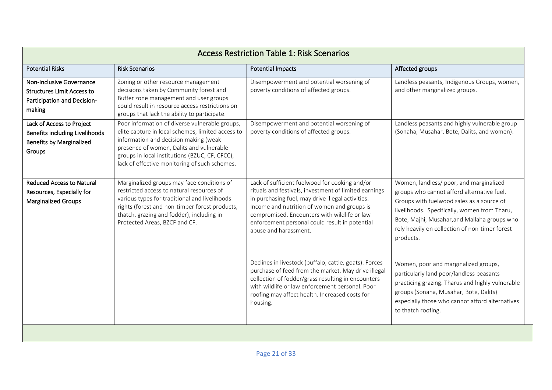|                                                                                                          |                                                                                                                                                                                                                                                                                             | <b>Access Restriction Table 1: Risk Scenarios</b>                                                                                                                                                                                                                                                                                      |                                                                                                                                                                                                                                                                                                   |
|----------------------------------------------------------------------------------------------------------|---------------------------------------------------------------------------------------------------------------------------------------------------------------------------------------------------------------------------------------------------------------------------------------------|----------------------------------------------------------------------------------------------------------------------------------------------------------------------------------------------------------------------------------------------------------------------------------------------------------------------------------------|---------------------------------------------------------------------------------------------------------------------------------------------------------------------------------------------------------------------------------------------------------------------------------------------------|
| <b>Potential Risks</b>                                                                                   | <b>Risk Scenarios</b>                                                                                                                                                                                                                                                                       | <b>Potential Impacts</b>                                                                                                                                                                                                                                                                                                               | Affected groups                                                                                                                                                                                                                                                                                   |
| Non-Inclusive Governance<br><b>Structures Limit Access to</b><br>Participation and Decision-<br>making   | Zoning or other resource management<br>decisions taken by Community forest and<br>Buffer zone management and user groups<br>could result in resource access restrictions on<br>groups that lack the ability to participate.                                                                 | Disempowerment and potential worsening of<br>poverty conditions of affected groups.                                                                                                                                                                                                                                                    | Landless peasants, Indigenous Groups, women,<br>and other marginalized groups.                                                                                                                                                                                                                    |
| Lack of Access to Project<br>Benefits including Livelihoods<br><b>Benefits by Marginalized</b><br>Groups | Poor information of diverse vulnerable groups,<br>elite capture in local schemes, limited access to<br>information and decision making (weak<br>presence of women, Dalits and vulnerable<br>groups in local institutions (BZUC, CF, CFCC),<br>lack of effective monitoring of such schemes. | Disempowerment and potential worsening of<br>poverty conditions of affected groups.                                                                                                                                                                                                                                                    | Landless peasants and highly vulnerable group<br>(Sonaha, Musahar, Bote, Dalits, and women).                                                                                                                                                                                                      |
| <b>Reduced Access to Natural</b><br>Resources, Especially for<br>Marginalized Groups                     | Marginalized groups may face conditions of<br>restricted access to natural resources of<br>various types for traditional and livelihoods<br>rights (forest and non-timber forest products,<br>thatch, grazing and fodder), including in<br>Protected Areas, BZCF and CF.                    | Lack of sufficient fuelwood for cooking and/or<br>rituals and festivals, investment of limited earnings<br>in purchasing fuel, may drive illegal activities.<br>Income and nutrition of women and groups is<br>compromised. Encounters with wildlife or law<br>enforcement personal could result in potential<br>abuse and harassment. | Women, landless/ poor, and marginalized<br>groups who cannot afford alternative fuel.<br>Groups with fuelwood sales as a source of<br>livelihoods. Specifically, women from Tharu,<br>Bote, Majhi, Musahar, and Mallaha groups who<br>rely heavily on collection of non-timer forest<br>products. |
|                                                                                                          |                                                                                                                                                                                                                                                                                             | Declines in livestock (buffalo, cattle, goats). Forces<br>purchase of feed from the market. May drive illegal<br>collection of fodder/grass resulting in encounters<br>with wildlife or law enforcement personal. Poor<br>roofing may affect health. Increased costs for<br>housing.                                                   | Women, poor and marginalized groups,<br>particularly land poor/landless peasants<br>practicing grazing. Tharus and highly vulnerable<br>groups (Sonaha, Musahar, Bote, Dalits)<br>especially those who cannot afford alternatives<br>to thatch roofing.                                           |
|                                                                                                          |                                                                                                                                                                                                                                                                                             |                                                                                                                                                                                                                                                                                                                                        |                                                                                                                                                                                                                                                                                                   |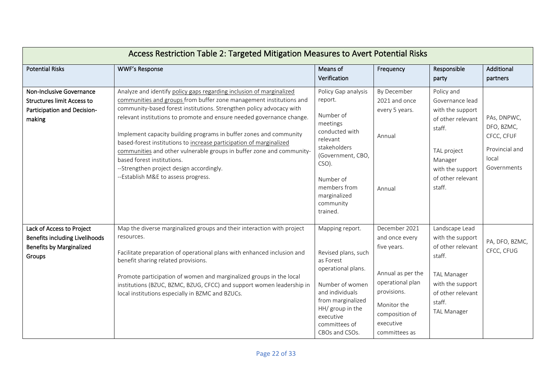|                                                                                                          | Access Restriction Table 2: Targeted Mitigation Measures to Avert Potential Risks                                                                                                                                                                                                                                                                                                                                                                                                                                                                                                                                                   |                                                                                                                                                                                                           |                                                                                                                                                                       |                                                                                                                                                                  |                                                                                   |
|----------------------------------------------------------------------------------------------------------|-------------------------------------------------------------------------------------------------------------------------------------------------------------------------------------------------------------------------------------------------------------------------------------------------------------------------------------------------------------------------------------------------------------------------------------------------------------------------------------------------------------------------------------------------------------------------------------------------------------------------------------|-----------------------------------------------------------------------------------------------------------------------------------------------------------------------------------------------------------|-----------------------------------------------------------------------------------------------------------------------------------------------------------------------|------------------------------------------------------------------------------------------------------------------------------------------------------------------|-----------------------------------------------------------------------------------|
| <b>Potential Risks</b>                                                                                   | <b>WWF's Response</b>                                                                                                                                                                                                                                                                                                                                                                                                                                                                                                                                                                                                               | Means of<br>Verification                                                                                                                                                                                  | Frequency                                                                                                                                                             | Responsible<br>party                                                                                                                                             | Additional<br>partners                                                            |
|                                                                                                          |                                                                                                                                                                                                                                                                                                                                                                                                                                                                                                                                                                                                                                     |                                                                                                                                                                                                           |                                                                                                                                                                       |                                                                                                                                                                  |                                                                                   |
| Non-Inclusive Governance<br><b>Structures limit Access to</b><br>Participation and Decision-<br>making   | Analyze and identify policy gaps regarding inclusion of marginalized<br>communities and groups from buffer zone management institutions and<br>community-based forest institutions. Strengthen policy advocacy with<br>relevant institutions to promote and ensure needed governance change.<br>Implement capacity building programs in buffer zones and community<br>based-forest institutions to increase participation of marginalized<br>communities and other vulnerable groups in buffer zone and community-<br>based forest institutions.<br>--Strengthen project design accordingly.<br>--Establish M&E to assess progress. | Policy Gap analysis<br>report.<br>Number of<br>meetings<br>conducted with<br>relevant<br>stakeholders<br>(Government, CBO,<br>CSO).<br>Number of<br>members from<br>marginalized<br>community<br>trained. | By December<br>2021 and once<br>every 5 years.<br>Annual<br>Annual                                                                                                    | Policy and<br>Governance lead<br>with the support<br>of other relevant<br>staff.<br>TAL project<br>Manager<br>with the support<br>of other relevant<br>staff.    | PAs, DNPWC,<br>DFO, BZMC,<br>CFCC, CFUF<br>Provincial and<br>local<br>Governments |
| Lack of Access to Project<br>Benefits including Livelihoods<br><b>Benefits by Marginalized</b><br>Groups | Map the diverse marginalized groups and their interaction with project<br>resources.<br>Facilitate preparation of operational plans with enhanced inclusion and<br>benefit sharing related provisions.<br>Promote participation of women and marginalized groups in the local<br>institutions (BZUC, BZMC, BZUG, CFCC) and support women leadership in<br>local institutions especially in BZMC and BZUCs.                                                                                                                                                                                                                          | Mapping report.<br>Revised plans, such<br>as Forest<br>operational plans.<br>Number of women<br>and individuals<br>from marginalized<br>HH/ group in the<br>executive<br>committees of<br>CBOs and CSOs.  | December 2021<br>and once every<br>five years.<br>Annual as per the<br>operational plan<br>provisions.<br>Monitor the<br>composition of<br>executive<br>committees as | Landscape Lead<br>with the support<br>of other relevant<br>staff.<br><b>TAL Manager</b><br>with the support<br>of other relevant<br>staff.<br><b>TAL Manager</b> | PA, DFO, BZMC,<br>CFCC, CFUG                                                      |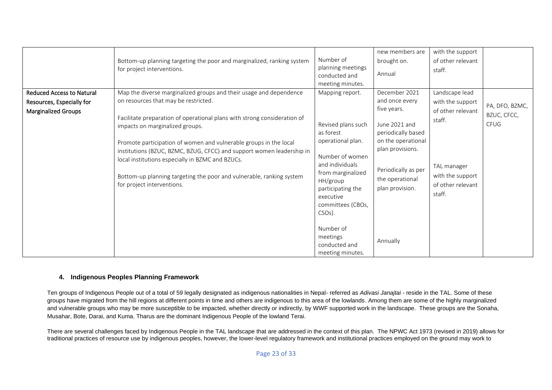|                                                                                             | Bottom-up planning targeting the poor and marginalized, ranking system<br>for project interventions.                                                                                                                                                                                                                                                                                                                                                                                                                              | Number of<br>planning meetings<br>conducted and<br>meeting minutes.                                                                                                                                                                       | new members are<br>brought on.<br>Annual                                                                                                                                                     | with the support<br>of other relevant<br>staff.                                                                                     |                                              |
|---------------------------------------------------------------------------------------------|-----------------------------------------------------------------------------------------------------------------------------------------------------------------------------------------------------------------------------------------------------------------------------------------------------------------------------------------------------------------------------------------------------------------------------------------------------------------------------------------------------------------------------------|-------------------------------------------------------------------------------------------------------------------------------------------------------------------------------------------------------------------------------------------|----------------------------------------------------------------------------------------------------------------------------------------------------------------------------------------------|-------------------------------------------------------------------------------------------------------------------------------------|----------------------------------------------|
| <b>Reduced Access to Natural</b><br>Resources, Especially for<br><b>Marginalized Groups</b> | Map the diverse marginalized groups and their usage and dependence<br>on resources that may be restricted.<br>Facilitate preparation of operational plans with strong consideration of<br>impacts on marginalized groups.<br>Promote participation of women and vulnerable groups in the local<br>institutions (BZUC, BZMC, BZUG, CFCC) and support women leadership in<br>local institutions especially in BZMC and BZUCs.<br>Bottom-up planning targeting the poor and vulnerable, ranking system<br>for project interventions. | Mapping report.<br>Revised plans such<br>as forest<br>operational plan.<br>Number of women<br>and individuals<br>from marginalized<br>HH/group<br>participating the<br>executive<br>committees (CBOs,<br>CSO <sub>s</sub> ).<br>Number of | December 2021<br>and once every<br>five years.<br>June 2021 and<br>periodically based<br>on the operational<br>plan provisions.<br>Periodically as per<br>the operational<br>plan provision. | Landscape lead<br>with the support<br>of other relevant<br>staff.<br>TAL manager<br>with the support<br>of other relevant<br>staff. | PA, DFO, BZMC,<br>BZUC, CFCC,<br><b>CFUG</b> |
|                                                                                             |                                                                                                                                                                                                                                                                                                                                                                                                                                                                                                                                   | meetings<br>conducted and<br>meeting minutes.                                                                                                                                                                                             | Annually                                                                                                                                                                                     |                                                                                                                                     |                                              |

#### **4. Indigenous Peoples Planning Framework**

Ten groups of Indigenous People out of a total of 59 legally designated as indigenous nationalities in Nepal- referred as *Adivasi Janajtai* - reside in the TAL. Some of these groups have migrated from the hill regions at different points in time and others are indigenous to this area of the lowlands. Among them are some of the highly marginalized and vulnerable groups who may be more susceptible to be impacted, whether directly or indirectly, by WWF supported work in the landscape. These groups are the Sonaha, Musahar, Bote, Darai, and Kuma. Tharus are the dominant Indigenous People of the lowland Terai.

There are several challenges faced by Indigenous People in the TAL landscape that are addressed in the context of this plan. The NPWC Act 1973 (revised in 2019) allows for traditional practices of resource use by indigenous peoples, however, the lower-level regulatory framework and institutional practices employed on the ground may work to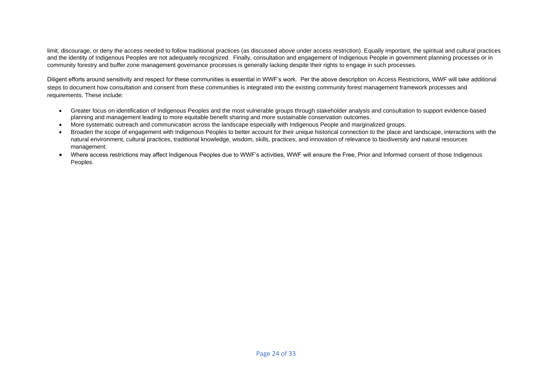limit, discourage, or deny the access needed to follow traditional practices (as discussed above under access restriction). Equally important, the spiritual and cultural practices and the identity of Indigenous Peoples are not adequately recognized. Finally, consultation and engagement of Indigenous People in government planning processes or in community forestry and buffer zone management governance processes is generally lacking despite their rights to engage in such processes.

Diligent efforts around sensitivity and respect for these communities is essential in WWF's work. Per the above description on Access Restrictions, WWF will take additional steps to document how consultation and consent from these communities is integrated into the existing community forest management framework processes and requirements. These include:

- Greater focus on identification of Indigenous Peoples and the most vulnerable groups through stakeholder analysis and consultation to support evidence-based planning and management leading to more equitable benefit sharing and more sustainable conservation outcomes.
- More systematic outreach and communication across the landscape especially with Indigenous People and marginalized groups.
- Broaden the scope of engagement with Indigenous Peoples to better account for their unique historical connection to the place and landscape, interactions with the natural environment, cultural practices, traditional knowledge, wisdom, skills, practices, and innovation of relevance to biodiversity and natural resources management.
- Where access restrictions may affect Indigenous Peoples due to WWF's activities, WWF will ensure the Free, Prior and Informed consent of those Indigenous Peoples.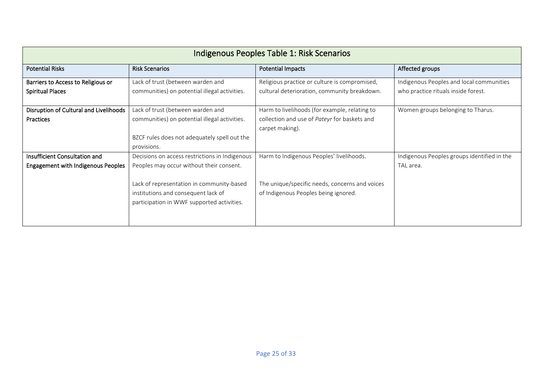|                                                                            |                                                                                                                                                                                                                              | Indigenous Peoples Table 1: Risk Scenarios                                                                                         |                                                                                 |
|----------------------------------------------------------------------------|------------------------------------------------------------------------------------------------------------------------------------------------------------------------------------------------------------------------------|------------------------------------------------------------------------------------------------------------------------------------|---------------------------------------------------------------------------------|
| <b>Potential Risks</b>                                                     | <b>Risk Scenarios</b>                                                                                                                                                                                                        | <b>Potential Impacts</b>                                                                                                           | Affected groups                                                                 |
| Barriers to Access to Religious or<br><b>Spiritual Places</b>              | Lack of trust (between warden and<br>communities) on potential illegal activities.                                                                                                                                           | Religious practice or culture is compromised,<br>cultural deterioration, community breakdown.                                      | Indigenous Peoples and local communities<br>who practice rituals inside forest. |
| Disruption of Cultural and Livelihoods<br>Practices                        | Lack of trust (between warden and<br>communities) on potential illegal activities.<br>BZCF rules does not adequately spell out the<br>provisions.                                                                            | Harm to livelihoods (for example, relating to<br>collection and use of Pateyr for baskets and<br>carpet making).                   | Women groups belonging to Tharus.                                               |
| Insufficient Consultation and<br><b>Engagement with Indigenous Peoples</b> | Decisions on access restrictions in Indigenous<br>Peoples may occur without their consent.<br>Lack of representation in community-based<br>institutions and consequent lack of<br>participation in WWF supported activities. | Harm to Indigenous Peoples' livelihoods.<br>The unique/specific needs, concerns and voices<br>of Indigenous Peoples being ignored. | Indigenous Peoples groups identified in the<br>TAL area.                        |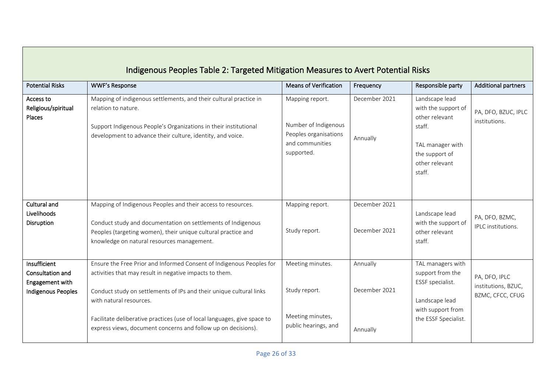|                                                                           | Indigenous Peoples Table 2: Targeted Mitigation Measures to Avert Potential Risks                                                                                                                                                                                                                                                                                              |                                                                                                   |                                       |                                                                                                                                     |                                                          |
|---------------------------------------------------------------------------|--------------------------------------------------------------------------------------------------------------------------------------------------------------------------------------------------------------------------------------------------------------------------------------------------------------------------------------------------------------------------------|---------------------------------------------------------------------------------------------------|---------------------------------------|-------------------------------------------------------------------------------------------------------------------------------------|----------------------------------------------------------|
| <b>Potential Risks</b>                                                    | <b>WWF's Response</b>                                                                                                                                                                                                                                                                                                                                                          | <b>Means of Verification</b>                                                                      | Frequency                             | Responsible party                                                                                                                   | <b>Additional partners</b>                               |
| Access to<br>Religious/spiritual<br>Places                                | Mapping of indigenous settlements, and their cultural practice in<br>relation to nature.<br>Support Indigenous People's Organizations in their institutional<br>development to advance their culture, identity, and voice.                                                                                                                                                     | Mapping report.<br>Number of Indigenous<br>Peoples organisations<br>and communities<br>supported. | December 2021<br>Annually             | Landscape lead<br>with the support of<br>other relevant<br>staff.<br>TAL manager with<br>the support of<br>other relevant<br>staff. | PA, DFO, BZUC, IPLC<br>institutions.                     |
| <b>Cultural and</b><br>Livelihoods<br>Disruption                          | Mapping of Indigenous Peoples and their access to resources.<br>Conduct study and documentation on settlements of Indigenous<br>Peoples (targeting women), their unique cultural practice and<br>knowledge on natural resources management.                                                                                                                                    | Mapping report.<br>Study report.                                                                  | December 2021<br>December 2021        | Landscape lead<br>with the support of<br>other relevant<br>staff.                                                                   | PA, DFO, BZMC,<br>IPLC institutions.                     |
| Insufficient<br>Consultation and<br>Engagement with<br>Indigenous Peoples | Ensure the Free Prior and Informed Consent of Indigenous Peoples for<br>activities that may result in negative impacts to them.<br>Conduct study on settlements of IPs and their unique cultural links<br>with natural resources.<br>Facilitate deliberative practices (use of local languages, give space to<br>express views, document concerns and follow up on decisions). | Meeting minutes.<br>Study report.<br>Meeting minutes,<br>public hearings, and                     | Annually<br>December 2021<br>Annually | TAL managers with<br>support from the<br>ESSF specialist.<br>Landscape lead<br>with support from<br>the ESSF Specialist.            | PA, DFO, IPLC<br>institutions, BZUC,<br>BZMC, CFCC, CFUG |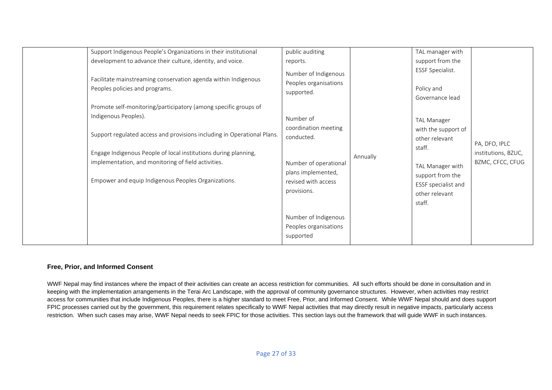| Support Indigenous People's Organizations in their institutional<br>development to advance their culture, identity, and voice.<br>Facilitate mainstreaming conservation agenda within Indigenous | public auditing<br>reports.<br>Number of Indigenous        |          | TAL manager with<br>support from the<br>ESSF Specialist. |                                      |
|--------------------------------------------------------------------------------------------------------------------------------------------------------------------------------------------------|------------------------------------------------------------|----------|----------------------------------------------------------|--------------------------------------|
| Peoples policies and programs.<br>Promote self-monitoring/participatory (among specific groups of                                                                                                | Peoples organisations<br>supported.                        |          | Policy and<br>Governance lead                            |                                      |
| Indigenous Peoples).                                                                                                                                                                             | Number of<br>coordination meeting                          |          | <b>TAL Manager</b><br>with the support of                |                                      |
| Support regulated access and provisions including in Operational Plans.<br>Engage Indigenous People of local institutions during planning,                                                       | conducted.                                                 |          | other relevant<br>staff.                                 | PA, DFO, IPLC<br>institutions, BZUC, |
| implementation, and monitoring of field activities.                                                                                                                                              | Number of operational<br>plans implemented,                | Annually | TAL Manager with<br>support from the                     | BZMC, CFCC, CFUG                     |
| Empower and equip Indigenous Peoples Organizations.                                                                                                                                              | revised with access<br>provisions.                         |          | ESSF specialist and<br>other relevant<br>staff.          |                                      |
|                                                                                                                                                                                                  | Number of Indigenous<br>Peoples organisations<br>supported |          |                                                          |                                      |

#### **Free, Prior, and Informed Consent**

WWF Nepal may find instances where the impact of their activities can create an access restriction for communities. All such efforts should be done in consultation and in keeping with the implementation arrangements in the Terai Arc Landscape, with the approval of community governance structures. However, when activities may restrict access for communities that include Indigenous Peoples, there is a higher standard to meet Free, Prior, and Informed Consent. While WWF Nepal should and does support FPIC processes carried out by the government, this requirement relates specifically to WWF Nepal activities that may directly result in negative impacts, particularly access restriction. When such cases may arise, WWF Nepal needs to seek FPIC for those activities. This section lays out the framework that will guide WWF in such instances.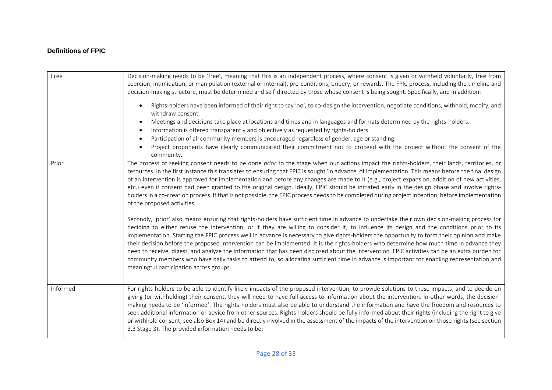## **Definitions of FPIC**

| Free     | Decision-making needs to be 'free', meaning that this is an independent process, where consent is given or withheld voluntarily, free from<br>coercion, intimidation, or manipulation (external or internal), pre-conditions, bribery, or rewards. The FPIC process, including the timeline and<br>decision-making structure, must be determined and self-directed by those whose consent is being sought. Specifically, and in addition:<br>Rights-holders have been informed of their right to say 'no', to co-design the intervention, negotiate conditions, withhold, modify, and<br>$\bullet$<br>withdraw consent.<br>Meetings and decisions take place at locations and times and in languages and formats determined by the rights-holders.<br>Information is offered transparently and objectively as requested by rights-holders.<br>$\bullet$<br>Participation of all community members is encouraged regardless of gender, age or standing.<br>$\bullet$<br>Project proponents have clearly communicated their commitment not to proceed with the project without the consent of the<br>community.                                                                                                                                                                                                                                                                                                                                                                                                                                                                                                                                                                                                                   |
|----------|---------------------------------------------------------------------------------------------------------------------------------------------------------------------------------------------------------------------------------------------------------------------------------------------------------------------------------------------------------------------------------------------------------------------------------------------------------------------------------------------------------------------------------------------------------------------------------------------------------------------------------------------------------------------------------------------------------------------------------------------------------------------------------------------------------------------------------------------------------------------------------------------------------------------------------------------------------------------------------------------------------------------------------------------------------------------------------------------------------------------------------------------------------------------------------------------------------------------------------------------------------------------------------------------------------------------------------------------------------------------------------------------------------------------------------------------------------------------------------------------------------------------------------------------------------------------------------------------------------------------------------------------------------------------------------------------------------------------------------|
| Prior    | The process of seeking consent needs to be done prior to the stage when our actions impact the rights-holders, their lands, territories, or<br>resources. In the first instance this translates to ensuring that FPIC is sought 'in advance' of implementation. This means before the final design<br>of an intervention is approved for implementation and before any changes are made to it (e.g., project expansion, addition of new activities,<br>etc.) even if consent had been granted to the original design. Ideally, FPIC should be initiated early in the design phase and involve rights-<br>holders in a co-creation process. If that is not possible, the FPIC process needs to be completed during project inception, before implementation<br>of the proposed activities.<br>Secondly, 'prior' also means ensuring that rights-holders have sufficient time in advance to undertake their own decision-making process for<br>deciding to either refuse the intervention, or if they are willing to consider it, to influence its design and the conditions prior to its<br>implementation. Starting the FPIC process well in advance is necessary to give rights-holders the opportunity to form their opinion and make<br>their decision before the proposed intervention can be implemented. It is the rights-holders who determine how much time in advance they<br>need to receive, digest, and analyze the information that has been disclosed about the intervention. FPIC activities can be an extra burden for<br>community members who have daily tasks to attend to, so allocating sufficient time in advance is important for enabling representation and<br>meaningful participation across groups. |
| Informed | For rights-holders to be able to identify likely impacts of the proposed intervention, to provide solutions to these impacts, and to decide on<br>giving (or withholding) their consent, they will need to have full access to information about the intervention. In other words, the decision-<br>making needs to be 'informed'. The rights-holders must also be able to understand the information and have the freedom and resources to<br>seek additional information or advice from other sources. Rights-holders should be fully informed about their rights (including the right to give<br>or withhold consent; see also Box 14) and be directly involved in the assessment of the impacts of the intervention on those rights (see section<br>3.3 Stage 3). The provided information needs to be:                                                                                                                                                                                                                                                                                                                                                                                                                                                                                                                                                                                                                                                                                                                                                                                                                                                                                                                     |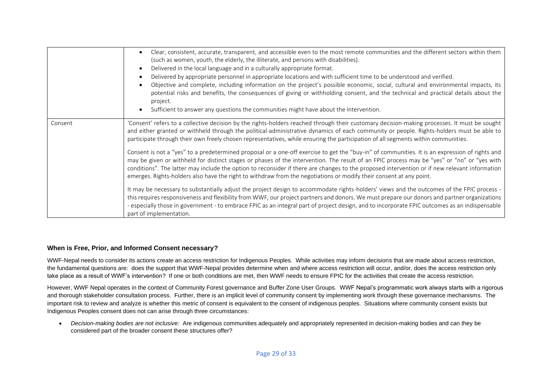|         | Clear, consistent, accurate, transparent, and accessible even to the most remote communities and the different sectors within them<br>(such as women, youth, the elderly, the illiterate, and persons with disabilities).<br>Delivered in the local language and in a culturally appropriate format.<br>Delivered by appropriate personnel in appropriate locations and with sufficient time to be understood and verified.<br>Objective and complete, including information on the project's possible economic, social, cultural and environmental impacts, its<br>potential risks and benefits, the consequences of giving or withholding consent, and the technical and practical details about the<br>project.<br>Sufficient to answer any questions the communities might have about the intervention.                                                                                                                                                                                                                                                                                                                                                                                                                                                                                                                                                                                                                                                                       |
|---------|-----------------------------------------------------------------------------------------------------------------------------------------------------------------------------------------------------------------------------------------------------------------------------------------------------------------------------------------------------------------------------------------------------------------------------------------------------------------------------------------------------------------------------------------------------------------------------------------------------------------------------------------------------------------------------------------------------------------------------------------------------------------------------------------------------------------------------------------------------------------------------------------------------------------------------------------------------------------------------------------------------------------------------------------------------------------------------------------------------------------------------------------------------------------------------------------------------------------------------------------------------------------------------------------------------------------------------------------------------------------------------------------------------------------------------------------------------------------------------------|
| Consent | 'Consent' refers to a collective decision by the rights-holders reached through their customary decision-making processes. It must be sought<br>and either granted or withheld through the political-administrative dynamics of each community or people. Rights-holders must be able to<br>participate through their own freely chosen representatives, while ensuring the participation of all segments within communities.<br>Consent is not a "yes" to a predetermined proposal or a one-off exercise to get the "buy-in" of communities. It is an expression of rights and<br>may be given or withheld for distinct stages or phases of the intervention. The result of an FPIC process may be "yes" or "no" or "yes with<br>conditions". The latter may include the option to reconsider if there are changes to the proposed intervention or if new relevant information<br>emerges. Rights-holders also have the right to withdraw from the negotiations or modify their consent at any point.<br>It may be necessary to substantially adjust the project design to accommodate rights-holders' views and the outcomes of the FPIC process -<br>this requires responsiveness and flexibility from WWF, our project partners and donors. We must prepare our donors and partner organizations<br>- especially those in government - to embrace FPIC as an integral part of project design, and to incorporate FPIC outcomes as an indispensable<br>part of implementation. |

#### **When is Free, Prior, and Informed Consent necessary?**

WWF-Nepal needs to consider its actions create an access restriction for Indigenous Peoples. While activities may inform decisions that are made about access restriction, the fundamental questions are: does the support that WWF-Nepal provides determine when and where access restriction will occur, and/or, does the access restriction only take place as a result of WWF's intervention? If one or both conditions are met, then WWF needs to ensure FPIC for the activities that create the access restriction.

However, WWF Nepal operates in the context of Community Forest governance and Buffer Zone User Groups. WWF Nepal's programmatic work always starts with a rigorous and thorough stakeholder consultation process. Further, there is an implicit level of community consent by implementing work through these governance mechanisms. The important risk to review and analyze is whether this metric of consent is equivalent to the consent of indigenous peoples. Situations where community consent exists but Indigenous Peoples consent does not can arise through three circumstances:

• *Decision-making bodies are not inclusive:* Are indigenous communities adequately and appropriately represented in decision-making bodies and can they be considered part of the broader consent these structures offer?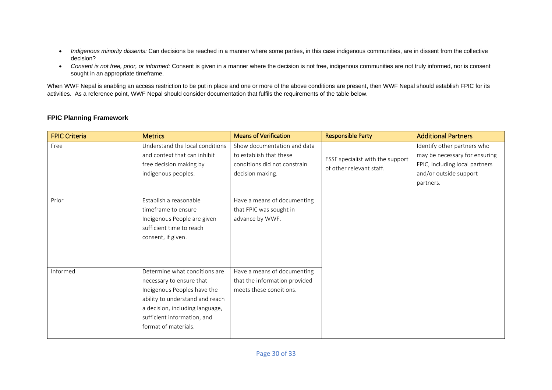- *Indigenous minority dissents:* Can decisions be reached in a manner where some parties, in this case indigenous communities, are in dissent from the collective decision?
- *Consent is not free, prior, or informed:* Consent is given in a manner where the decision is not free, indigenous communities are not truly informed, nor is consent sought in an appropriate timeframe.

When WWF Nepal is enabling an access restriction to be put in place and one or more of the above conditions are present, then WWF Nepal should establish FPIC for its activities. As a reference point, WWF Nepal should consider documentation that fulfils the requirements of the table below.

| <b>FPIC Criteria</b> | <b>Metrics</b>                                                                                                                                                                                                        | <b>Means of Verification</b>                                                                               | <b>Responsible Party</b>                                     | <b>Additional Partners</b>                                                                                                            |
|----------------------|-----------------------------------------------------------------------------------------------------------------------------------------------------------------------------------------------------------------------|------------------------------------------------------------------------------------------------------------|--------------------------------------------------------------|---------------------------------------------------------------------------------------------------------------------------------------|
| Free                 | Understand the local conditions<br>and context that can inhibit<br>free decision making by<br>indigenous peoples.                                                                                                     | Show documentation and data<br>to establish that these<br>conditions did not constrain<br>decision making. | ESSF specialist with the support<br>of other relevant staff. | Identify other partners who<br>may be necessary for ensuring<br>FPIC, including local partners<br>and/or outside support<br>partners. |
| Prior                | Establish a reasonable<br>timeframe to ensure<br>Indigenous People are given<br>sufficient time to reach<br>consent, if given.                                                                                        | Have a means of documenting<br>that FPIC was sought in<br>advance by WWF.                                  |                                                              |                                                                                                                                       |
| Informed             | Determine what conditions are<br>necessary to ensure that<br>Indigenous Peoples have the<br>ability to understand and reach<br>a decision, including language,<br>sufficient information, and<br>format of materials. | Have a means of documenting<br>that the information provided<br>meets these conditions.                    |                                                              |                                                                                                                                       |

## **FPIC Planning Framework**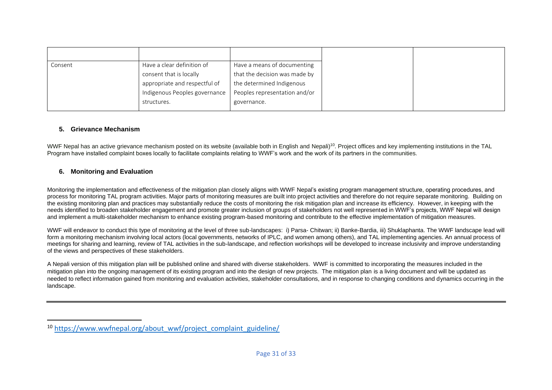| Consent | Have a clear definition of    | Have a means of documenting   |
|---------|-------------------------------|-------------------------------|
|         | consent that is locally       | that the decision was made by |
|         | appropriate and respectful of | the determined Indigenous     |
|         | Indigenous Peoples governance | Peoples representation and/or |
|         | structures.                   | governance.                   |
|         |                               |                               |

## **5. Grievance Mechanism**

WWF Nepal has an active grievance mechanism posted on its website (available both in English and Nepali)<sup>10</sup>. Project offices and key implementing institutions in the TAL Program have installed complaint boxes locally to facilitate complaints relating to WWF's work and the work of its partners in the communities.

## **6. Monitoring and Evaluation**

Monitoring the implementation and effectiveness of the mitigation plan closely aligns with WWF Nepal's existing program management structure, operating procedures, and process for monitoring TAL program activities. Major parts of monitoring measures are built into project activities and therefore do not require separate monitoring. Building on the existing monitoring plan and practices may substantially reduce the costs of monitoring the risk mitigation plan and increase its efficiency. However, in keeping with the needs identified to broaden stakeholder engagement and promote greater inclusion of groups of stakeholders not well represented in WWF's projects, WWF Nepal will design and implement a multi-stakeholder mechanism to enhance existing program-based monitoring and contribute to the effective implementation of mitigation measures.

WWF will endeavor to conduct this type of monitoring at the level of three sub-landscapes: i) Parsa- Chitwan; ii) Banke-Bardia, iii) Shuklaphanta. The WWF landscape lead will form a monitoring mechanism involving local actors (local governments, networks of IPLC, and women among others), and TAL implementing agencies. An annual process of meetings for sharing and learning, review of TAL activities in the sub-landscape, and reflection workshops will be developed to increase inclusivity and improve understanding of the views and perspectives of these stakeholders.

A Nepali version of this mitigation plan will be published online and shared with diverse stakeholders. WWF is committed to incorporating the measures included in the mitigation plan into the ongoing management of its existing program and into the design of new projects. The mitigation plan is a living document and will be updated as needed to reflect information gained from monitoring and evaluation activities, stakeholder consultations, and in response to changing conditions and dynamics occurring in the landscape.

<sup>&</sup>lt;sup>10</sup> [https://www.wwfnepal.org/about\\_wwf/project\\_complaint\\_guideline/](https://www.wwfnepal.org/about_wwf/project_complaint_guideline/)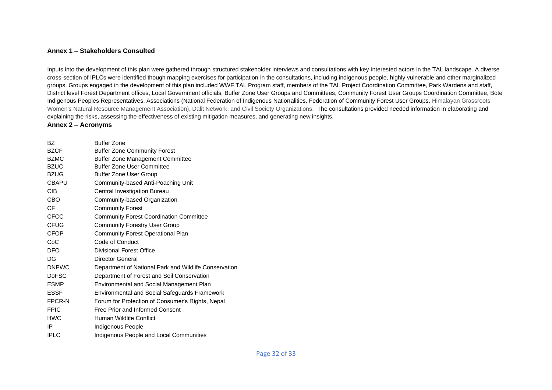#### **Annex 1 – Stakeholders Consulted**

Inputs into the development of this plan were gathered through structured stakeholder interviews and consultations with key interested actors in the TAL landscape. A diverse cross-section of IPLCs were identified though mapping exercises for participation in the consultations, including indigenous people, highly vulnerable and other marginalized groups. Groups engaged in the development of this plan included WWF TAL Program staff, members of the TAL Project Coordination Committee, Park Wardens and staff, District level Forest Department offices, Local Government officials, Buffer Zone User Groups and Committees, Community Forest User Groups Coordination Committee, Bote Indigenous Peoples Representatives, Associations (National Federation of Indigenous Nationalities, Federation of Community Forest User Groups, Himalayan Grassroots Women's Natural Resource Management Association), Dalit Network, and Civil Society Organizations. The consultations provided needed information in elaborating and explaining the risks, assessing the effectiveness of existing mitigation measures, and generating new insights.

#### **Annex 2 – Acronyms**

| BZ.          | <b>Buffer Zone</b>                                    |
|--------------|-------------------------------------------------------|
| <b>BZCF</b>  | <b>Buffer Zone Community Forest</b>                   |
| <b>BZMC</b>  | <b>Buffer Zone Management Committee</b>               |
| <b>BZUC</b>  | <b>Buffer Zone User Committee</b>                     |
| <b>BZUG</b>  | <b>Buffer Zone User Group</b>                         |
| <b>CBAPU</b> | Community-based Anti-Poaching Unit                    |
| <b>CIB</b>   | Central Investigation Bureau                          |
| CBO          | Community-based Organization                          |
| CF           | <b>Community Forest</b>                               |
| <b>CFCC</b>  | <b>Community Forest Coordination Committee</b>        |
| <b>CFUG</b>  | <b>Community Forestry User Group</b>                  |
| <b>CFOP</b>  | <b>Community Forest Operational Plan</b>              |
| CoC          | Code of Conduct                                       |
| <b>DFO</b>   | Divisional Forest Office                              |
| DG           | Director General                                      |
| <b>DNPWC</b> | Department of National Park and Wildlife Conservation |
| <b>DoFSC</b> | Department of Forest and Soil Conservation            |
| <b>ESMP</b>  | Environmental and Social Management Plan              |
| ESSF         | Environmental and Social Safeguards Framework         |
| FPCR-N       | Forum for Protection of Consumer's Rights, Nepal      |
| <b>FPIC</b>  | Free Prior and Informed Consent                       |
| <b>HWC</b>   | Human Wildlife Conflict                               |
| IP           | Indigenous People                                     |
| <b>IPLC</b>  | Indigenous People and Local Communities               |
|              |                                                       |